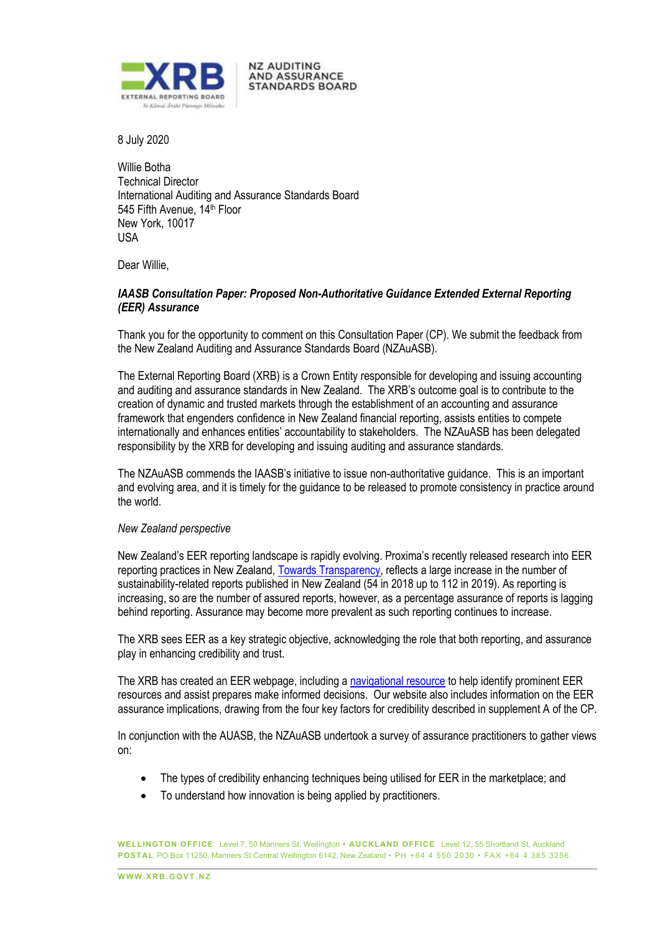

**NZ AUDITING** AND ASSURANCE **STANDARDS BOARD** 

8 July 2020

Willie Botha Technical Director International Auditing and Assurance Standards Board 545 Fifth Avenue, 14<sup>th</sup> Floor New York, 10017 USA

Dear Willie,

# *IAASB Consultation Paper: Proposed Non-Authoritative Guidance Extended External Reporting (EER) Assurance*

Thank you for the opportunity to comment on this Consultation Paper (CP). We submit the feedback from the New Zealand Auditing and Assurance Standards Board (NZAuASB).

The External Reporting Board (XRB) is a Crown Entity responsible for developing and issuing accounting and auditing and assurance standards in New Zealand. The XRB's outcome goal is to contribute to the creation of dynamic and trusted markets through the establishment of an accounting and assurance framework that engenders confidence in New Zealand financial reporting, assists entities to compete internationally and enhances entities' accountability to stakeholders. The NZAuASB has been delegated responsibility by the XRB for developing and issuing auditing and assurance standards.

The NZAuASB commends the IAASB's initiative to issue non-authoritative guidance. This is an important and evolving area, and it is timely for the guidance to be released to promote consistency in practice around the world.

### *New Zealand perspective*

New Zealand's EER reporting landscape is rapidly evolving. Proxima's recently released research into EER reporting practices in New Zealand[, Towards Transparency,](http://www.proxima.global/towards_transparency2020.pdf) reflects a large increase in the number of sustainability-related reports published in New Zealand (54 in 2018 up to 112 in 2019). As reporting is increasing, so are the number of assured reports, however, as a percentage assurance of reports is lagging behind reporting. Assurance may become more prevalent as such reporting continues to increase.

The XRB sees EER as a key strategic objective, acknowledging the role that both reporting, and assurance play in enhancing credibility and trust.

The XRB has created an EER webpage, including a [navigational resource](https://www.xrb.govt.nz/extended-external-reporting/eer-navigational-resource/) to help identify prominent EER resources and assist prepares make informed decisions. Our website also includes information on the EER assurance implications, drawing from the four key factors for credibility described in supplement A of the CP.

In conjunction with the AUASB, the NZAuASB undertook a survey of assurance practitioners to gather views on:

- The types of credibility enhancing techniques being utilised for EER in the marketplace; and
- To understand how innovation is being applied by practitioners.

**WELLINGTON OFFICE** Level 7, 50 Manners St, Wellington **• AUCKLAND OFFICE** Level 12, 55 Shortland St, Auckland **POSTAL** PO Box 11250, Manners St Central Wellington 6142, New Zealand • PH +64 4 550 2030 • FAX +64 4 385 3256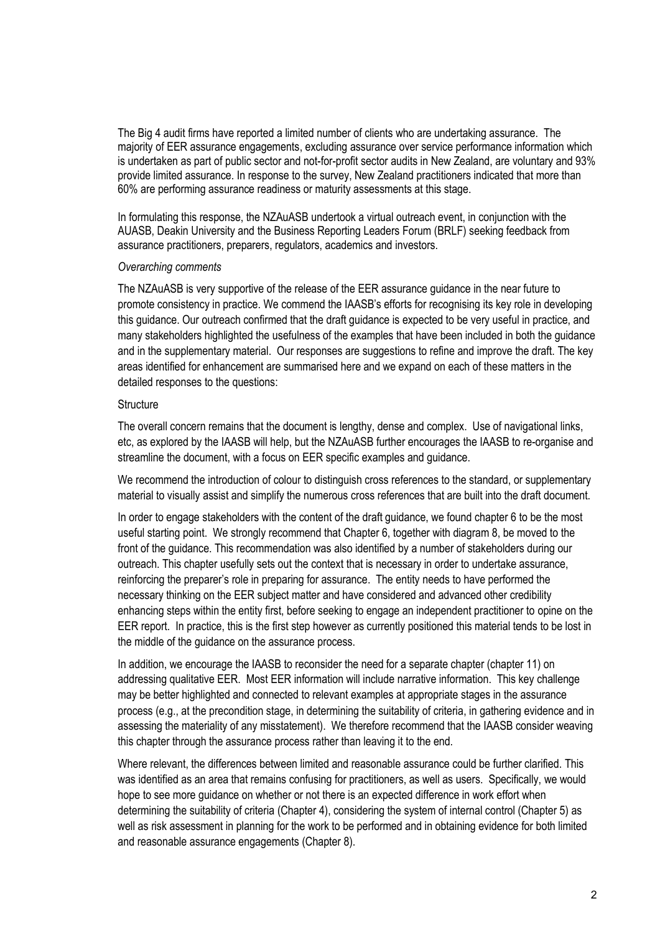The Big 4 audit firms have reported a limited number of clients who are undertaking assurance. The majority of EER assurance engagements, excluding assurance over service performance information which is undertaken as part of public sector and not-for-profit sector audits in New Zealand, are voluntary and 93% provide limited assurance. In response to the survey, New Zealand practitioners indicated that more than 60% are performing assurance readiness or maturity assessments at this stage.

In formulating this response, the NZAuASB undertook a virtual outreach event, in conjunction with the AUASB, Deakin University and the Business Reporting Leaders Forum (BRLF) seeking feedback from assurance practitioners, preparers, regulators, academics and investors.

#### *Overarching comments*

The NZAuASB is very supportive of the release of the EER assurance guidance in the near future to promote consistency in practice. We commend the IAASB's efforts for recognising its key role in developing this guidance. Our outreach confirmed that the draft guidance is expected to be very useful in practice, and many stakeholders highlighted the usefulness of the examples that have been included in both the guidance and in the supplementary material. Our responses are suggestions to refine and improve the draft. The key areas identified for enhancement are summarised here and we expand on each of these matters in the detailed responses to the questions:

#### **Structure**

The overall concern remains that the document is lengthy, dense and complex. Use of navigational links, etc, as explored by the IAASB will help, but the NZAuASB further encourages the IAASB to re-organise and streamline the document, with a focus on EER specific examples and guidance.

We recommend the introduction of colour to distinguish cross references to the standard, or supplementary material to visually assist and simplify the numerous cross references that are built into the draft document.

In order to engage stakeholders with the content of the draft guidance, we found chapter 6 to be the most useful starting point. We strongly recommend that Chapter 6, together with diagram 8, be moved to the front of the guidance. This recommendation was also identified by a number of stakeholders during our outreach. This chapter usefully sets out the context that is necessary in order to undertake assurance, reinforcing the preparer's role in preparing for assurance. The entity needs to have performed the necessary thinking on the EER subject matter and have considered and advanced other credibility enhancing steps within the entity first, before seeking to engage an independent practitioner to opine on the EER report. In practice, this is the first step however as currently positioned this material tends to be lost in the middle of the guidance on the assurance process.

In addition, we encourage the IAASB to reconsider the need for a separate chapter (chapter 11) on addressing qualitative EER. Most EER information will include narrative information. This key challenge may be better highlighted and connected to relevant examples at appropriate stages in the assurance process (e.g., at the precondition stage, in determining the suitability of criteria, in gathering evidence and in assessing the materiality of any misstatement). We therefore recommend that the IAASB consider weaving this chapter through the assurance process rather than leaving it to the end.

Where relevant, the differences between limited and reasonable assurance could be further clarified. This was identified as an area that remains confusing for practitioners, as well as users. Specifically, we would hope to see more guidance on whether or not there is an expected difference in work effort when determining the suitability of criteria (Chapter 4), considering the system of internal control (Chapter 5) as well as risk assessment in planning for the work to be performed and in obtaining evidence for both limited and reasonable assurance engagements (Chapter 8).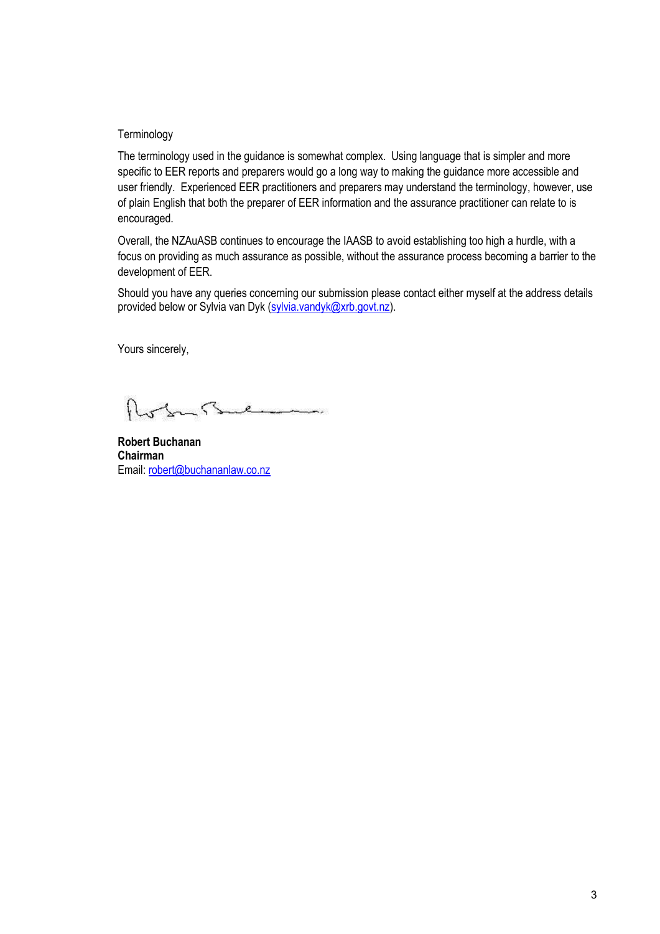#### **Terminology**

The terminology used in the guidance is somewhat complex. Using language that is simpler and more specific to EER reports and preparers would go a long way to making the guidance more accessible and user friendly. Experienced EER practitioners and preparers may understand the terminology, however, use of plain English that both the preparer of EER information and the assurance practitioner can relate to is encouraged.

Overall, the NZAuASB continues to encourage the IAASB to avoid establishing too high a hurdle, with a focus on providing as much assurance as possible, without the assurance process becoming a barrier to the development of EER.

Should you have any queries concerning our submission please contact either myself at the address details provided below or Sylvia van Dyk (sylvia.vandyk@xrb.govt.nz).

Yours sincerely,

In Buch المستم

**Robert Buchanan Chairman** Email: robert@buchananlaw.co.nz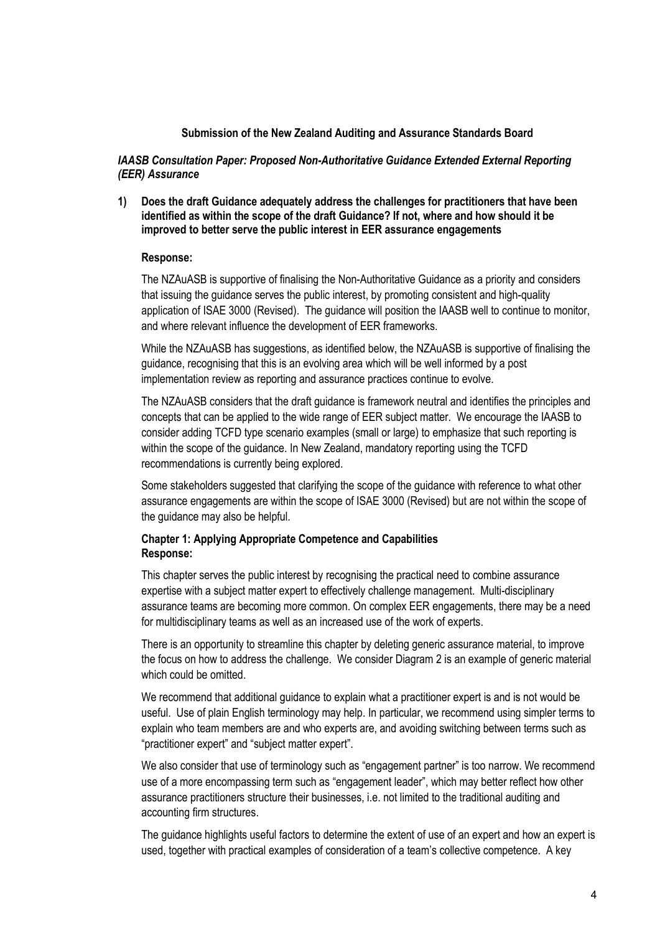### **Submission of the New Zealand Auditing and Assurance Standards Board**

*IAASB Consultation Paper: Proposed Non-Authoritative Guidance Extended External Reporting (EER) Assurance*

**1) Does the draft Guidance adequately address the challenges for practitioners that have been identified as within the scope of the draft Guidance? If not, where and how should it be improved to better serve the public interest in EER assurance engagements**

#### **Response:**

The NZAuASB is supportive of finalising the Non-Authoritative Guidance as a priority and considers that issuing the guidance serves the public interest, by promoting consistent and high-quality application of ISAE 3000 (Revised). The guidance will position the IAASB well to continue to monitor, and where relevant influence the development of EER frameworks.

While the NZAuASB has suggestions, as identified below, the NZAuASB is supportive of finalising the guidance, recognising that this is an evolving area which will be well informed by a post implementation review as reporting and assurance practices continue to evolve.

The NZAuASB considers that the draft guidance is framework neutral and identifies the principles and concepts that can be applied to the wide range of EER subject matter. We encourage the IAASB to consider adding TCFD type scenario examples (small or large) to emphasize that such reporting is within the scope of the guidance. In New Zealand, mandatory reporting using the TCFD recommendations is currently being explored.

Some stakeholders suggested that clarifying the scope of the guidance with reference to what other assurance engagements are within the scope of ISAE 3000 (Revised) but are not within the scope of the guidance may also be helpful.

# **Chapter 1: Applying Appropriate Competence and Capabilities Response:**

This chapter serves the public interest by recognising the practical need to combine assurance expertise with a subject matter expert to effectively challenge management. Multi-disciplinary assurance teams are becoming more common. On complex EER engagements, there may be a need for multidisciplinary teams as well as an increased use of the work of experts.

There is an opportunity to streamline this chapter by deleting generic assurance material, to improve the focus on how to address the challenge. We consider Diagram 2 is an example of generic material which could be omitted.

We recommend that additional guidance to explain what a practitioner expert is and is not would be useful. Use of plain English terminology may help. In particular, we recommend using simpler terms to explain who team members are and who experts are, and avoiding switching between terms such as "practitioner expert" and "subject matter expert".

We also consider that use of terminology such as "engagement partner" is too narrow. We recommend use of a more encompassing term such as "engagement leader", which may better reflect how other assurance practitioners structure their businesses, i.e. not limited to the traditional auditing and accounting firm structures.

The guidance highlights useful factors to determine the extent of use of an expert and how an expert is used, together with practical examples of consideration of a team's collective competence. A key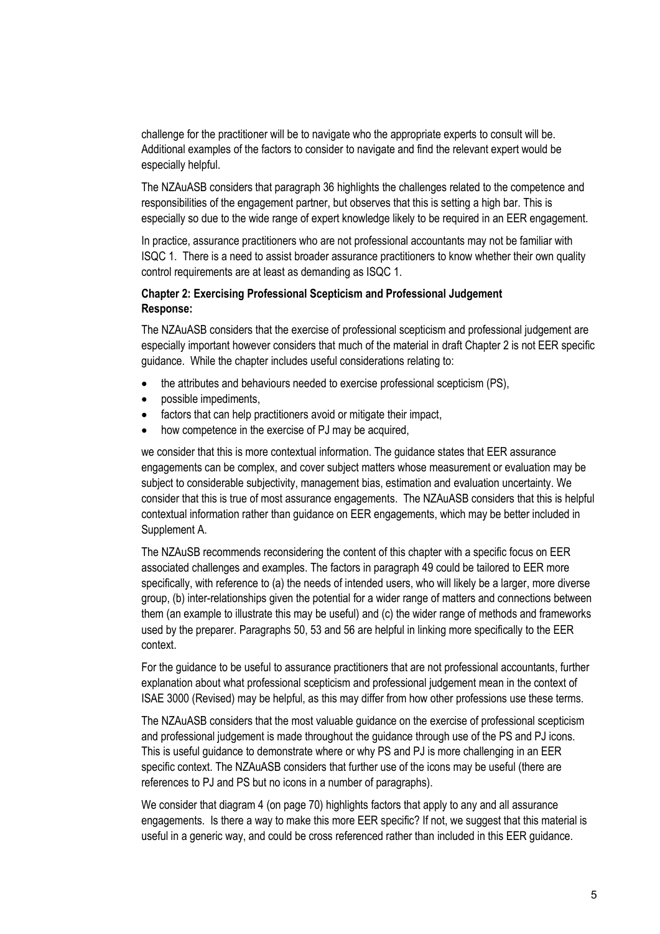challenge for the practitioner will be to navigate who the appropriate experts to consult will be. Additional examples of the factors to consider to navigate and find the relevant expert would be especially helpful.

The NZAuASB considers that paragraph 36 highlights the challenges related to the competence and responsibilities of the engagement partner, but observes that this is setting a high bar. This is especially so due to the wide range of expert knowledge likely to be required in an EER engagement.

In practice, assurance practitioners who are not professional accountants may not be familiar with ISQC 1. There is a need to assist broader assurance practitioners to know whether their own quality control requirements are at least as demanding as ISQC 1.

# **Chapter 2: Exercising Professional Scepticism and Professional Judgement Response:**

The NZAuASB considers that the exercise of professional scepticism and professional judgement are especially important however considers that much of the material in draft Chapter 2 is not EER specific guidance. While the chapter includes useful considerations relating to:

- the attributes and behaviours needed to exercise professional scepticism (PS),
- possible impediments,
- factors that can help practitioners avoid or mitigate their impact,
- how competence in the exercise of PJ may be acquired,

we consider that this is more contextual information. The guidance states that EER assurance engagements can be complex, and cover subject matters whose measurement or evaluation may be subject to considerable subjectivity, management bias, estimation and evaluation uncertainty. We consider that this is true of most assurance engagements. The NZAuASB considers that this is helpful contextual information rather than guidance on EER engagements, which may be better included in Supplement A.

The NZAuSB recommends reconsidering the content of this chapter with a specific focus on EER associated challenges and examples. The factors in paragraph 49 could be tailored to EER more specifically, with reference to (a) the needs of intended users, who will likely be a larger, more diverse group, (b) inter-relationships given the potential for a wider range of matters and connections between them (an example to illustrate this may be useful) and (c) the wider range of methods and frameworks used by the preparer. Paragraphs 50, 53 and 56 are helpful in linking more specifically to the EER context.

For the guidance to be useful to assurance practitioners that are not professional accountants, further explanation about what professional scepticism and professional judgement mean in the context of ISAE 3000 (Revised) may be helpful, as this may differ from how other professions use these terms.

The NZAuASB considers that the most valuable guidance on the exercise of professional scepticism and professional judgement is made throughout the guidance through use of the PS and PJ icons. This is useful guidance to demonstrate where or why PS and PJ is more challenging in an EER specific context. The NZAuASB considers that further use of the icons may be useful (there are references to PJ and PS but no icons in a number of paragraphs).

We consider that diagram 4 (on page 70) highlights factors that apply to any and all assurance engagements. Is there a way to make this more EER specific? If not, we suggest that this material is useful in a generic way, and could be cross referenced rather than included in this EER guidance.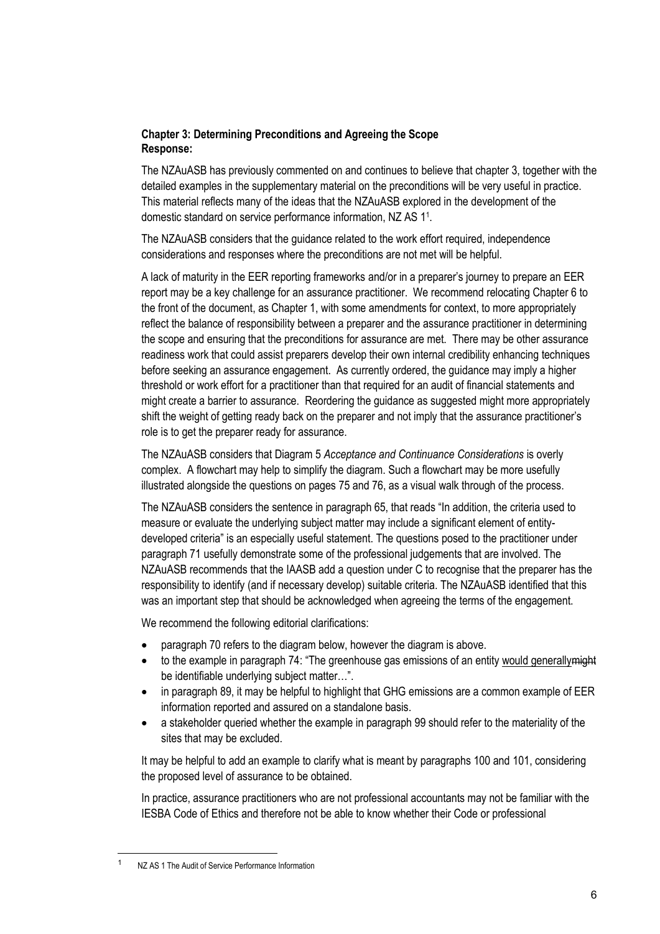# **Chapter 3: Determining Preconditions and Agreeing the Scope Response:**

The NZAuASB has previously commented on and continues to believe that chapter 3, together with the detailed examples in the supplementary material on the preconditions will be very useful in practice. This material reflects many of the ideas that the NZAuASB explored in the development of the domestic standard on service performance information, NZ AS 1<sup>1</sup> .

The NZAuASB considers that the guidance related to the work effort required, independence considerations and responses where the preconditions are not met will be helpful.

A lack of maturity in the EER reporting frameworks and/or in a preparer's journey to prepare an EER report may be a key challenge for an assurance practitioner. We recommend relocating Chapter 6 to the front of the document, as Chapter 1, with some amendments for context, to more appropriately reflect the balance of responsibility between a preparer and the assurance practitioner in determining the scope and ensuring that the preconditions for assurance are met. There may be other assurance readiness work that could assist preparers develop their own internal credibility enhancing techniques before seeking an assurance engagement. As currently ordered, the guidance may imply a higher threshold or work effort for a practitioner than that required for an audit of financial statements and might create a barrier to assurance. Reordering the guidance as suggested might more appropriately shift the weight of getting ready back on the preparer and not imply that the assurance practitioner's role is to get the preparer ready for assurance.

The NZAuASB considers that Diagram 5 *Acceptance and Continuance Considerations* is overly complex. A flowchart may help to simplify the diagram. Such a flowchart may be more usefully illustrated alongside the questions on pages 75 and 76, as a visual walk through of the process.

The NZAuASB considers the sentence in paragraph 65, that reads "In addition, the criteria used to measure or evaluate the underlying subject matter may include a significant element of entitydeveloped criteria" is an especially useful statement. The questions posed to the practitioner under paragraph 71 usefully demonstrate some of the professional judgements that are involved. The NZAuASB recommends that the IAASB add a question under C to recognise that the preparer has the responsibility to identify (and if necessary develop) suitable criteria. The NZAuASB identified that this was an important step that should be acknowledged when agreeing the terms of the engagement.

We recommend the following editorial clarifications:

- paragraph 70 refers to the diagram below, however the diagram is above.
- to the example in paragraph 74: "The greenhouse gas emissions of an entity would generally might be identifiable underlying subject matter…".
- in paragraph 89, it may be helpful to highlight that GHG emissions are a common example of EER information reported and assured on a standalone basis.
- a stakeholder queried whether the example in paragraph 99 should refer to the materiality of the sites that may be excluded.

It may be helpful to add an example to clarify what is meant by paragraphs 100 and 101, considering the proposed level of assurance to be obtained.

In practice, assurance practitioners who are not professional accountants may not be familiar with the IESBA Code of Ethics and therefore not be able to know whether their Code or professional

<sup>&</sup>lt;sup>1</sup> NZ AS 1 The Audit of Service Performance Information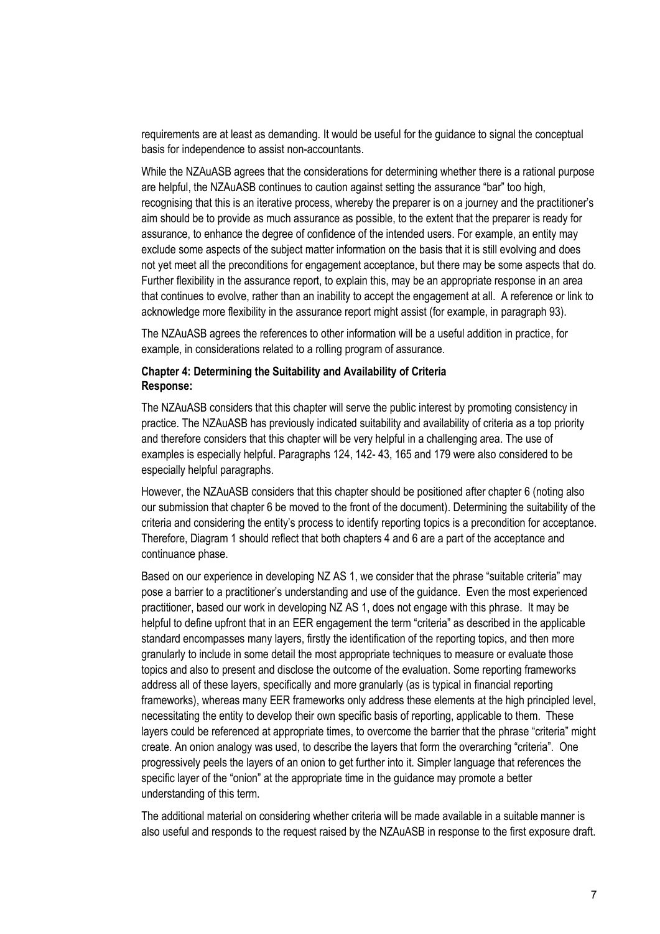requirements are at least as demanding. It would be useful for the guidance to signal the conceptual basis for independence to assist non-accountants.

While the NZAuASB agrees that the considerations for determining whether there is a rational purpose are helpful, the NZAuASB continues to caution against setting the assurance "bar" too high, recognising that this is an iterative process, whereby the preparer is on a journey and the practitioner's aim should be to provide as much assurance as possible, to the extent that the preparer is ready for assurance, to enhance the degree of confidence of the intended users. For example, an entity may exclude some aspects of the subject matter information on the basis that it is still evolving and does not yet meet all the preconditions for engagement acceptance, but there may be some aspects that do. Further flexibility in the assurance report, to explain this, may be an appropriate response in an area that continues to evolve, rather than an inability to accept the engagement at all. A reference or link to acknowledge more flexibility in the assurance report might assist (for example, in paragraph 93).

The NZAuASB agrees the references to other information will be a useful addition in practice, for example, in considerations related to a rolling program of assurance.

### **Chapter 4: Determining the Suitability and Availability of Criteria Response:**

The NZAuASB considers that this chapter will serve the public interest by promoting consistency in practice. The NZAuASB has previously indicated suitability and availability of criteria as a top priority and therefore considers that this chapter will be very helpful in a challenging area. The use of examples is especially helpful. Paragraphs 124, 142- 43, 165 and 179 were also considered to be especially helpful paragraphs.

However, the NZAuASB considers that this chapter should be positioned after chapter 6 (noting also our submission that chapter 6 be moved to the front of the document). Determining the suitability of the criteria and considering the entity's process to identify reporting topics is a precondition for acceptance. Therefore, Diagram 1 should reflect that both chapters 4 and 6 are a part of the acceptance and continuance phase.

Based on our experience in developing NZ AS 1, we consider that the phrase "suitable criteria" may pose a barrier to a practitioner's understanding and use of the guidance. Even the most experienced practitioner, based our work in developing NZ AS 1, does not engage with this phrase. It may be helpful to define upfront that in an EER engagement the term "criteria" as described in the applicable standard encompasses many layers, firstly the identification of the reporting topics, and then more granularly to include in some detail the most appropriate techniques to measure or evaluate those topics and also to present and disclose the outcome of the evaluation. Some reporting frameworks address all of these layers, specifically and more granularly (as is typical in financial reporting frameworks), whereas many EER frameworks only address these elements at the high principled level, necessitating the entity to develop their own specific basis of reporting, applicable to them. These layers could be referenced at appropriate times, to overcome the barrier that the phrase "criteria" might create. An onion analogy was used, to describe the layers that form the overarching "criteria". One progressively peels the layers of an onion to get further into it. Simpler language that references the specific layer of the "onion" at the appropriate time in the guidance may promote a better understanding of this term.

The additional material on considering whether criteria will be made available in a suitable manner is also useful and responds to the request raised by the NZAuASB in response to the first exposure draft.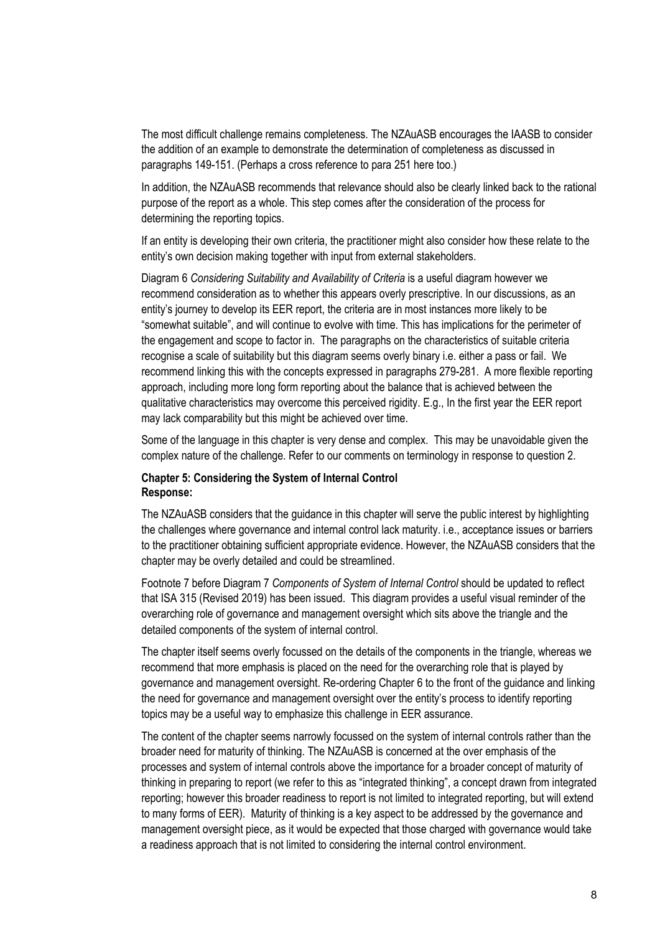The most difficult challenge remains completeness. The NZAuASB encourages the IAASB to consider the addition of an example to demonstrate the determination of completeness as discussed in paragraphs 149-151. (Perhaps a cross reference to para 251 here too.)

In addition, the NZAuASB recommends that relevance should also be clearly linked back to the rational purpose of the report as a whole. This step comes after the consideration of the process for determining the reporting topics.

If an entity is developing their own criteria, the practitioner might also consider how these relate to the entity's own decision making together with input from external stakeholders.

Diagram 6 *Considering Suitability and Availability of Criteria* is a useful diagram however we recommend consideration as to whether this appears overly prescriptive. In our discussions, as an entity's journey to develop its EER report, the criteria are in most instances more likely to be "somewhat suitable", and will continue to evolve with time. This has implications for the perimeter of the engagement and scope to factor in. The paragraphs on the characteristics of suitable criteria recognise a scale of suitability but this diagram seems overly binary i.e. either a pass or fail. We recommend linking this with the concepts expressed in paragraphs 279-281. A more flexible reporting approach, including more long form reporting about the balance that is achieved between the qualitative characteristics may overcome this perceived rigidity. E.g., In the first year the EER report may lack comparability but this might be achieved over time.

Some of the language in this chapter is very dense and complex. This may be unavoidable given the complex nature of the challenge. Refer to our comments on terminology in response to question 2.

## **Chapter 5: Considering the System of Internal Control Response:**

The NZAuASB considers that the guidance in this chapter will serve the public interest by highlighting the challenges where governance and internal control lack maturity. i.e., acceptance issues or barriers to the practitioner obtaining sufficient appropriate evidence. However, the NZAuASB considers that the chapter may be overly detailed and could be streamlined.

Footnote 7 before Diagram 7 *Components of System of Internal Control* should be updated to reflect that ISA 315 (Revised 2019) has been issued. This diagram provides a useful visual reminder of the overarching role of governance and management oversight which sits above the triangle and the detailed components of the system of internal control.

The chapter itself seems overly focussed on the details of the components in the triangle, whereas we recommend that more emphasis is placed on the need for the overarching role that is played by governance and management oversight. Re-ordering Chapter 6 to the front of the guidance and linking the need for governance and management oversight over the entity's process to identify reporting topics may be a useful way to emphasize this challenge in EER assurance.

The content of the chapter seems narrowly focussed on the system of internal controls rather than the broader need for maturity of thinking. The NZAuASB is concerned at the over emphasis of the processes and system of internal controls above the importance for a broader concept of maturity of thinking in preparing to report (we refer to this as "integrated thinking", a concept drawn from integrated reporting; however this broader readiness to report is not limited to integrated reporting, but will extend to many forms of EER). Maturity of thinking is a key aspect to be addressed by the governance and management oversight piece, as it would be expected that those charged with governance would take a readiness approach that is not limited to considering the internal control environment.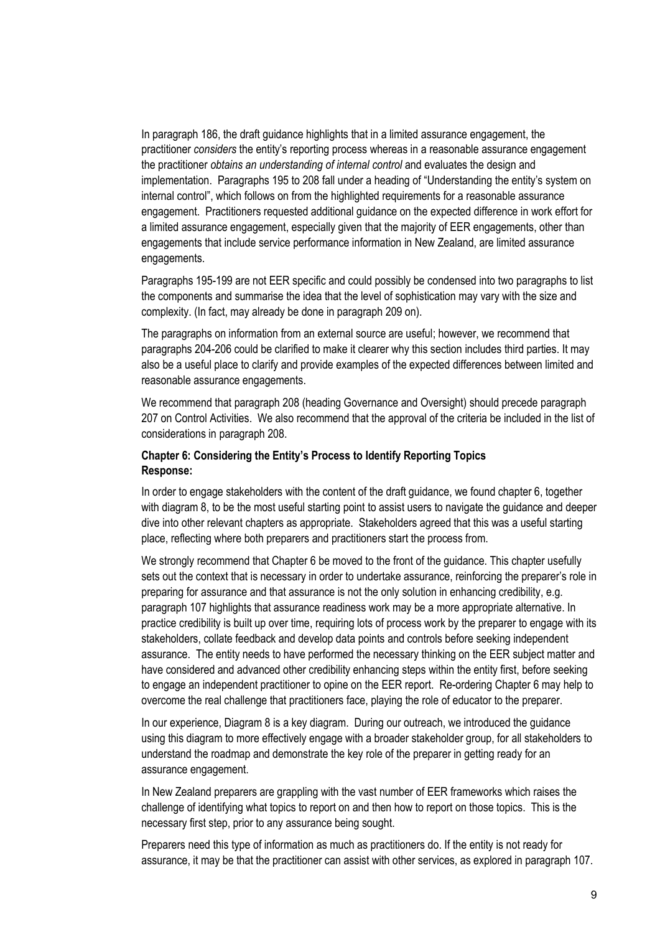In paragraph 186, the draft guidance highlights that in a limited assurance engagement, the practitioner *considers* the entity's reporting process whereas in a reasonable assurance engagement the practitioner *obtains an understanding of internal control* and evaluates the design and implementation. Paragraphs 195 to 208 fall under a heading of "Understanding the entity's system on internal control", which follows on from the highlighted requirements for a reasonable assurance engagement. Practitioners requested additional guidance on the expected difference in work effort for a limited assurance engagement, especially given that the majority of EER engagements, other than engagements that include service performance information in New Zealand, are limited assurance engagements.

Paragraphs 195-199 are not EER specific and could possibly be condensed into two paragraphs to list the components and summarise the idea that the level of sophistication may vary with the size and complexity. (In fact, may already be done in paragraph 209 on).

The paragraphs on information from an external source are useful; however, we recommend that paragraphs 204-206 could be clarified to make it clearer why this section includes third parties. It may also be a useful place to clarify and provide examples of the expected differences between limited and reasonable assurance engagements.

We recommend that paragraph 208 (heading Governance and Oversight) should precede paragraph 207 on Control Activities. We also recommend that the approval of the criteria be included in the list of considerations in paragraph 208.

# **Chapter 6: Considering the Entity's Process to Identify Reporting Topics Response:**

In order to engage stakeholders with the content of the draft guidance, we found chapter 6, together with diagram 8, to be the most useful starting point to assist users to navigate the guidance and deeper dive into other relevant chapters as appropriate. Stakeholders agreed that this was a useful starting place, reflecting where both preparers and practitioners start the process from.

We strongly recommend that Chapter 6 be moved to the front of the guidance. This chapter usefully sets out the context that is necessary in order to undertake assurance, reinforcing the preparer's role in preparing for assurance and that assurance is not the only solution in enhancing credibility, e.g. paragraph 107 highlights that assurance readiness work may be a more appropriate alternative. In practice credibility is built up over time, requiring lots of process work by the preparer to engage with its stakeholders, collate feedback and develop data points and controls before seeking independent assurance. The entity needs to have performed the necessary thinking on the EER subject matter and have considered and advanced other credibility enhancing steps within the entity first, before seeking to engage an independent practitioner to opine on the EER report. Re-ordering Chapter 6 may help to overcome the real challenge that practitioners face, playing the role of educator to the preparer.

In our experience, Diagram 8 is a key diagram. During our outreach, we introduced the guidance using this diagram to more effectively engage with a broader stakeholder group, for all stakeholders to understand the roadmap and demonstrate the key role of the preparer in getting ready for an assurance engagement.

In New Zealand preparers are grappling with the vast number of EER frameworks which raises the challenge of identifying what topics to report on and then how to report on those topics. This is the necessary first step, prior to any assurance being sought.

Preparers need this type of information as much as practitioners do. If the entity is not ready for assurance, it may be that the practitioner can assist with other services, as explored in paragraph 107.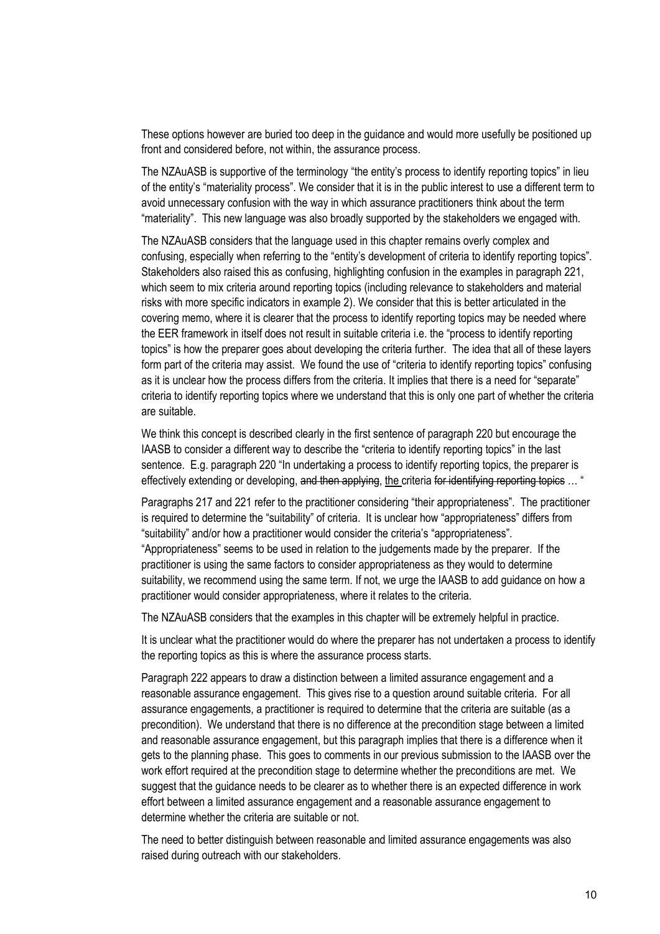These options however are buried too deep in the guidance and would more usefully be positioned up front and considered before, not within, the assurance process.

The NZAuASB is supportive of the terminology "the entity's process to identify reporting topics" in lieu of the entity's "materiality process". We consider that it is in the public interest to use a different term to avoid unnecessary confusion with the way in which assurance practitioners think about the term "materiality". This new language was also broadly supported by the stakeholders we engaged with.

The NZAuASB considers that the language used in this chapter remains overly complex and confusing, especially when referring to the "entity's development of criteria to identify reporting topics". Stakeholders also raised this as confusing, highlighting confusion in the examples in paragraph 221, which seem to mix criteria around reporting topics (including relevance to stakeholders and material risks with more specific indicators in example 2). We consider that this is better articulated in the covering memo, where it is clearer that the process to identify reporting topics may be needed where the EER framework in itself does not result in suitable criteria i.e. the "process to identify reporting topics" is how the preparer goes about developing the criteria further. The idea that all of these layers form part of the criteria may assist. We found the use of "criteria to identify reporting topics" confusing as it is unclear how the process differs from the criteria. It implies that there is a need for "separate" criteria to identify reporting topics where we understand that this is only one part of whether the criteria are suitable.

We think this concept is described clearly in the first sentence of paragraph 220 but encourage the IAASB to consider a different way to describe the "criteria to identify reporting topics" in the last sentence. E.g. paragraph 220 "In undertaking a process to identify reporting topics, the preparer is effectively extending or developing, and then applying, the criteria for identifying reporting topics ... "

Paragraphs 217 and 221 refer to the practitioner considering "their appropriateness". The practitioner is required to determine the "suitability" of criteria. It is unclear how "appropriateness" differs from "suitability" and/or how a practitioner would consider the criteria's "appropriateness". "Appropriateness" seems to be used in relation to the judgements made by the preparer. If the practitioner is using the same factors to consider appropriateness as they would to determine suitability, we recommend using the same term. If not, we urge the IAASB to add guidance on how a practitioner would consider appropriateness, where it relates to the criteria.

The NZAuASB considers that the examples in this chapter will be extremely helpful in practice.

It is unclear what the practitioner would do where the preparer has not undertaken a process to identify the reporting topics as this is where the assurance process starts.

Paragraph 222 appears to draw a distinction between a limited assurance engagement and a reasonable assurance engagement. This gives rise to a question around suitable criteria. For all assurance engagements, a practitioner is required to determine that the criteria are suitable (as a precondition). We understand that there is no difference at the precondition stage between a limited and reasonable assurance engagement, but this paragraph implies that there is a difference when it gets to the planning phase. This goes to comments in our previous submission to the IAASB over the work effort required at the precondition stage to determine whether the preconditions are met. We suggest that the guidance needs to be clearer as to whether there is an expected difference in work effort between a limited assurance engagement and a reasonable assurance engagement to determine whether the criteria are suitable or not.

The need to better distinguish between reasonable and limited assurance engagements was also raised during outreach with our stakeholders.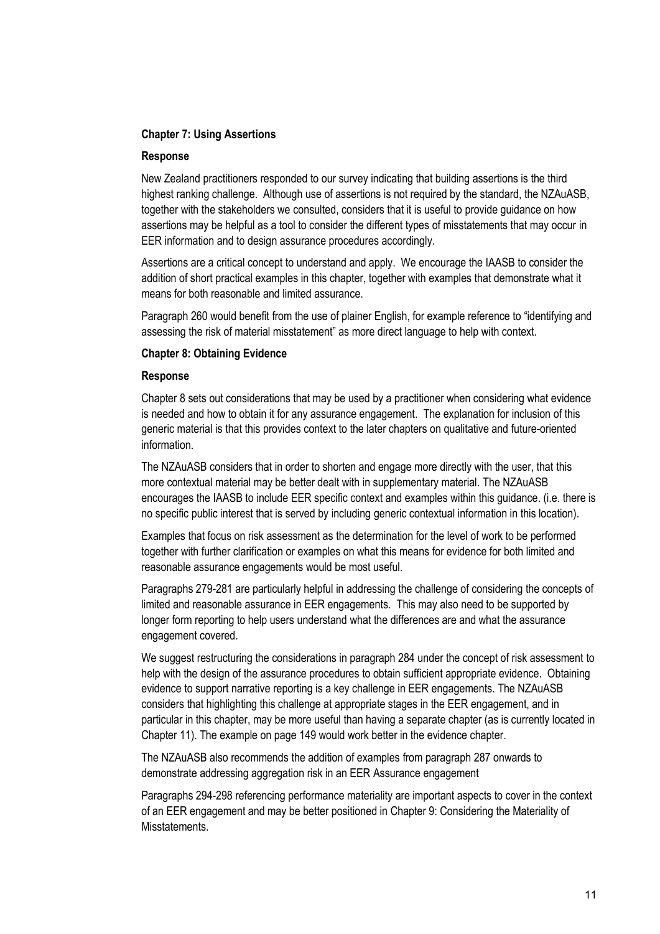## **Chapter 7: Using Assertions**

#### **Response**

New Zealand practitioners responded to our survey indicating that building assertions is the third highest ranking challenge. Although use of assertions is not required by the standard, the NZAuASB, together with the stakeholders we consulted, considers that it is useful to provide guidance on how assertions may be helpful as a tool to consider the different types of misstatements that may occur in EER information and to design assurance procedures accordingly.

Assertions are a critical concept to understand and apply. We encourage the IAASB to consider the addition of short practical examples in this chapter, together with examples that demonstrate what it means for both reasonable and limited assurance.

Paragraph 260 would benefit from the use of plainer English, for example reference to "identifying and assessing the risk of material misstatement" as more direct language to help with context.

## **Chapter 8: Obtaining Evidence**

#### **Response**

Chapter 8 sets out considerations that may be used by a practitioner when considering what evidence is needed and how to obtain it for any assurance engagement. The explanation for inclusion of this generic material is that this provides context to the later chapters on qualitative and future-oriented information.

The NZAuASB considers that in order to shorten and engage more directly with the user, that this more contextual material may be better dealt with in supplementary material. The NZAuASB encourages the IAASB to include EER specific context and examples within this guidance. (i.e. there is no specific public interest that is served by including generic contextual information in this location).

Examples that focus on risk assessment as the determination for the level of work to be performed together with further clarification or examples on what this means for evidence for both limited and reasonable assurance engagements would be most useful.

Paragraphs 279-281 are particularly helpful in addressing the challenge of considering the concepts of limited and reasonable assurance in EER engagements. This may also need to be supported by longer form reporting to help users understand what the differences are and what the assurance engagement covered.

We suggest restructuring the considerations in paragraph 284 under the concept of risk assessment to help with the design of the assurance procedures to obtain sufficient appropriate evidence. Obtaining evidence to support narrative reporting is a key challenge in EER engagements. The NZAuASB considers that highlighting this challenge at appropriate stages in the EER engagement, and in particular in this chapter, may be more useful than having a separate chapter (as is currently located in Chapter 11). The example on page 149 would work better in the evidence chapter.

The NZAuASB also recommends the addition of examples from paragraph 287 onwards to demonstrate addressing aggregation risk in an EER Assurance engagement

Paragraphs 294-298 referencing performance materiality are important aspects to cover in the context of an EER engagement and may be better positioned in Chapter 9: Considering the Materiality of **Misstatements**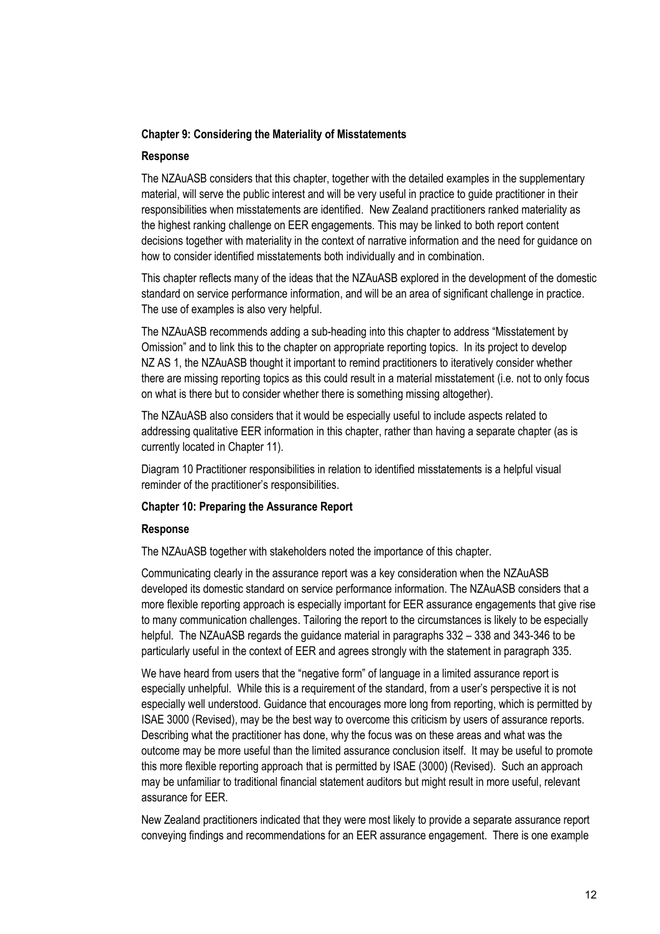## **Chapter 9: Considering the Materiality of Misstatements**

### **Response**

The NZAuASB considers that this chapter, together with the detailed examples in the supplementary material, will serve the public interest and will be very useful in practice to guide practitioner in their responsibilities when misstatements are identified. New Zealand practitioners ranked materiality as the highest ranking challenge on EER engagements. This may be linked to both report content decisions together with materiality in the context of narrative information and the need for guidance on how to consider identified misstatements both individually and in combination.

This chapter reflects many of the ideas that the NZAuASB explored in the development of the domestic standard on service performance information, and will be an area of significant challenge in practice. The use of examples is also very helpful.

The NZAuASB recommends adding a sub-heading into this chapter to address "Misstatement by Omission" and to link this to the chapter on appropriate reporting topics. In its project to develop NZ AS 1, the NZAuASB thought it important to remind practitioners to iteratively consider whether there are missing reporting topics as this could result in a material misstatement (i.e. not to only focus on what is there but to consider whether there is something missing altogether).

The NZAuASB also considers that it would be especially useful to include aspects related to addressing qualitative EER information in this chapter, rather than having a separate chapter (as is currently located in Chapter 11).

Diagram 10 Practitioner responsibilities in relation to identified misstatements is a helpful visual reminder of the practitioner's responsibilities.

### **Chapter 10: Preparing the Assurance Report**

# **Response**

The NZAuASB together with stakeholders noted the importance of this chapter.

Communicating clearly in the assurance report was a key consideration when the NZAuASB developed its domestic standard on service performance information. The NZAuASB considers that a more flexible reporting approach is especially important for EER assurance engagements that give rise to many communication challenges. Tailoring the report to the circumstances is likely to be especially helpful. The NZAuASB regards the guidance material in paragraphs 332 – 338 and 343-346 to be particularly useful in the context of EER and agrees strongly with the statement in paragraph 335.

We have heard from users that the "negative form" of language in a limited assurance report is especially unhelpful. While this is a requirement of the standard, from a user's perspective it is not especially well understood. Guidance that encourages more long from reporting, which is permitted by ISAE 3000 (Revised), may be the best way to overcome this criticism by users of assurance reports. Describing what the practitioner has done, why the focus was on these areas and what was the outcome may be more useful than the limited assurance conclusion itself. It may be useful to promote this more flexible reporting approach that is permitted by ISAE (3000) (Revised). Such an approach may be unfamiliar to traditional financial statement auditors but might result in more useful, relevant assurance for EER.

New Zealand practitioners indicated that they were most likely to provide a separate assurance report conveying findings and recommendations for an EER assurance engagement. There is one example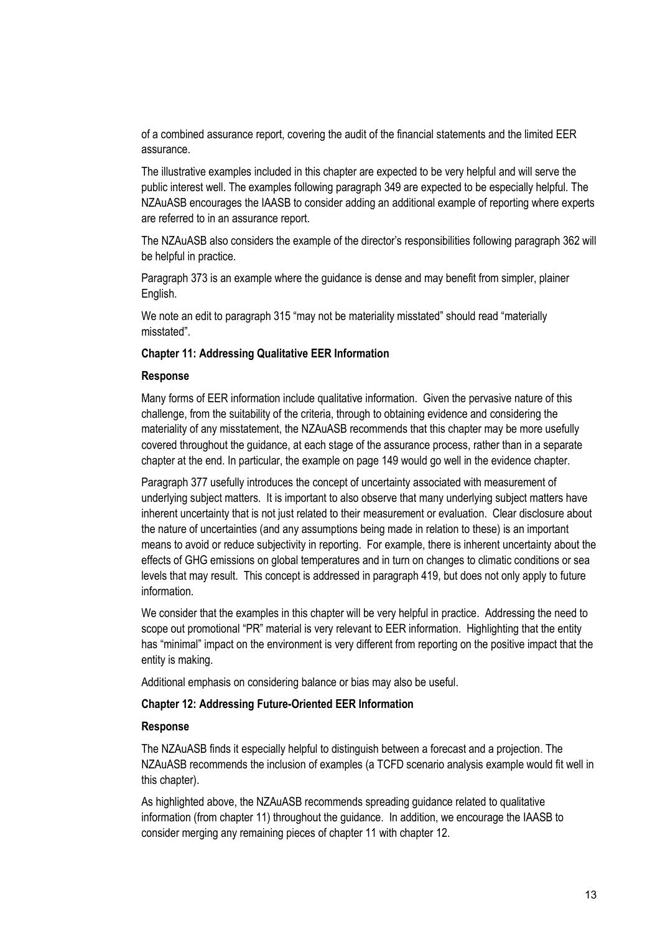of a combined assurance report, covering the audit of the financial statements and the limited EER assurance.

The illustrative examples included in this chapter are expected to be very helpful and will serve the public interest well. The examples following paragraph 349 are expected to be especially helpful. The NZAuASB encourages the IAASB to consider adding an additional example of reporting where experts are referred to in an assurance report.

The NZAuASB also considers the example of the director's responsibilities following paragraph 362 will be helpful in practice.

Paragraph 373 is an example where the guidance is dense and may benefit from simpler, plainer English.

We note an edit to paragraph 315 "may not be materiality misstated" should read "materially misstated".

### **Chapter 11: Addressing Qualitative EER Information**

### **Response**

Many forms of EER information include qualitative information. Given the pervasive nature of this challenge, from the suitability of the criteria, through to obtaining evidence and considering the materiality of any misstatement, the NZAuASB recommends that this chapter may be more usefully covered throughout the guidance, at each stage of the assurance process, rather than in a separate chapter at the end. In particular, the example on page 149 would go well in the evidence chapter.

Paragraph 377 usefully introduces the concept of uncertainty associated with measurement of underlying subject matters. It is important to also observe that many underlying subject matters have inherent uncertainty that is not just related to their measurement or evaluation. Clear disclosure about the nature of uncertainties (and any assumptions being made in relation to these) is an important means to avoid or reduce subjectivity in reporting. For example, there is inherent uncertainty about the effects of GHG emissions on global temperatures and in turn on changes to climatic conditions or sea levels that may result. This concept is addressed in paragraph 419, but does not only apply to future information.

We consider that the examples in this chapter will be very helpful in practice. Addressing the need to scope out promotional "PR" material is very relevant to EER information. Highlighting that the entity has "minimal" impact on the environment is very different from reporting on the positive impact that the entity is making.

Additional emphasis on considering balance or bias may also be useful.

### **Chapter 12: Addressing Future-Oriented EER Information**

### **Response**

The NZAuASB finds it especially helpful to distinguish between a forecast and a projection. The NZAuASB recommends the inclusion of examples (a TCFD scenario analysis example would fit well in this chapter).

As highlighted above, the NZAuASB recommends spreading guidance related to qualitative information (from chapter 11) throughout the guidance. In addition, we encourage the IAASB to consider merging any remaining pieces of chapter 11 with chapter 12.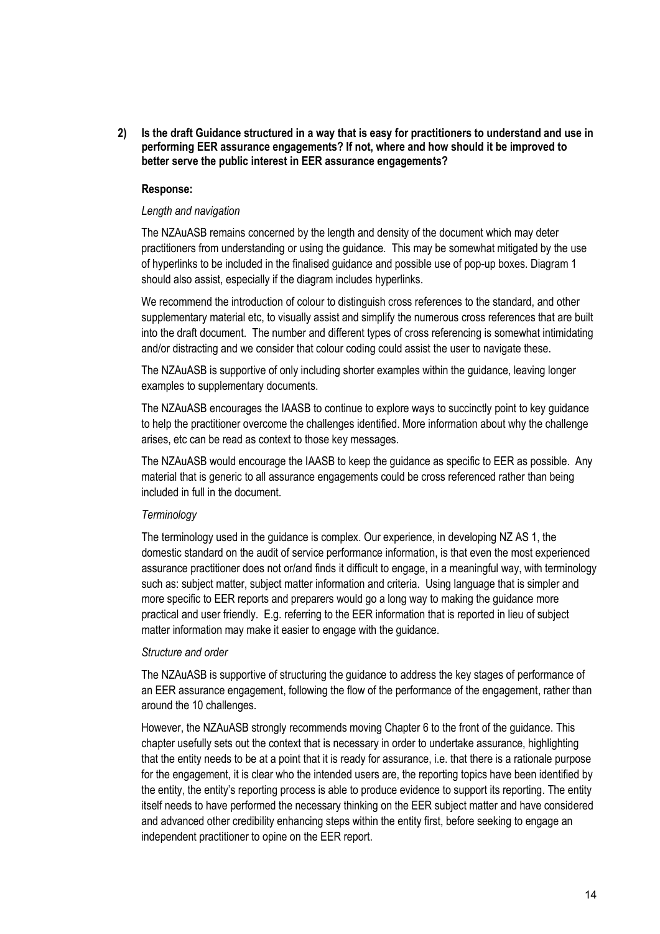**2) Is the draft Guidance structured in a way that is easy for practitioners to understand and use in performing EER assurance engagements? If not, where and how should it be improved to better serve the public interest in EER assurance engagements?**

### **Response:**

### *Length and navigation*

The NZAuASB remains concerned by the length and density of the document which may deter practitioners from understanding or using the guidance. This may be somewhat mitigated by the use of hyperlinks to be included in the finalised guidance and possible use of pop-up boxes. Diagram 1 should also assist, especially if the diagram includes hyperlinks.

We recommend the introduction of colour to distinguish cross references to the standard, and other supplementary material etc, to visually assist and simplify the numerous cross references that are built into the draft document. The number and different types of cross referencing is somewhat intimidating and/or distracting and we consider that colour coding could assist the user to navigate these.

The NZAuASB is supportive of only including shorter examples within the guidance, leaving longer examples to supplementary documents.

The NZAuASB encourages the IAASB to continue to explore ways to succinctly point to key guidance to help the practitioner overcome the challenges identified. More information about why the challenge arises, etc can be read as context to those key messages.

The NZAuASB would encourage the IAASB to keep the guidance as specific to EER as possible. Any material that is generic to all assurance engagements could be cross referenced rather than being included in full in the document.

## *Terminology*

The terminology used in the guidance is complex. Our experience, in developing NZ AS 1, the domestic standard on the audit of service performance information, is that even the most experienced assurance practitioner does not or/and finds it difficult to engage, in a meaningful way, with terminology such as: subject matter, subject matter information and criteria. Using language that is simpler and more specific to EER reports and preparers would go a long way to making the guidance more practical and user friendly. E.g. referring to the EER information that is reported in lieu of subject matter information may make it easier to engage with the guidance.

#### *Structure and order*

The NZAuASB is supportive of structuring the guidance to address the key stages of performance of an EER assurance engagement, following the flow of the performance of the engagement, rather than around the 10 challenges.

However, the NZAuASB strongly recommends moving Chapter 6 to the front of the guidance. This chapter usefully sets out the context that is necessary in order to undertake assurance, highlighting that the entity needs to be at a point that it is ready for assurance, i.e. that there is a rationale purpose for the engagement, it is clear who the intended users are, the reporting topics have been identified by the entity, the entity's reporting process is able to produce evidence to support its reporting. The entity itself needs to have performed the necessary thinking on the EER subject matter and have considered and advanced other credibility enhancing steps within the entity first, before seeking to engage an independent practitioner to opine on the EER report.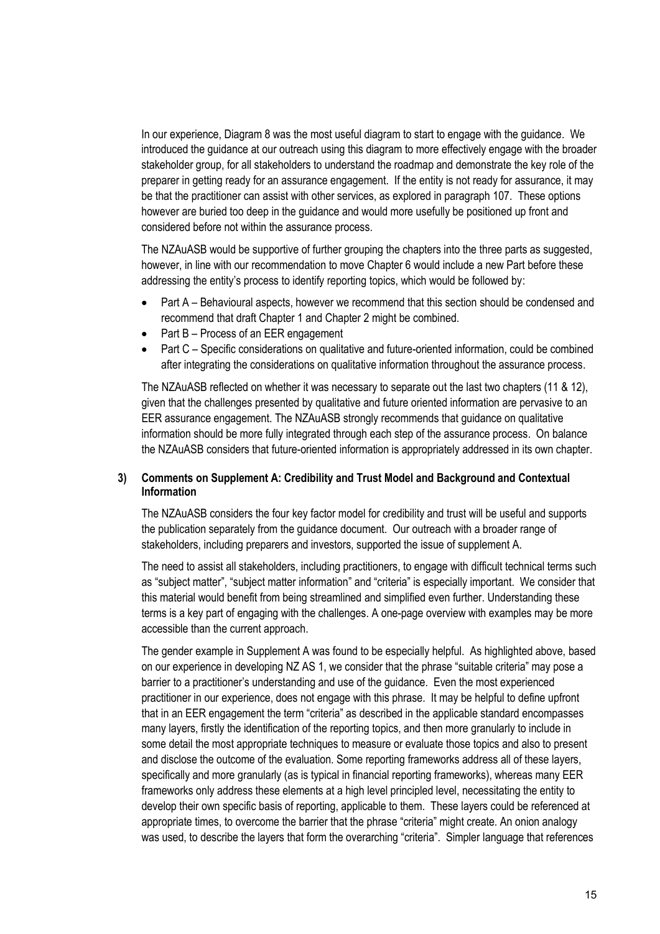In our experience, Diagram 8 was the most useful diagram to start to engage with the guidance. We introduced the guidance at our outreach using this diagram to more effectively engage with the broader stakeholder group, for all stakeholders to understand the roadmap and demonstrate the key role of the preparer in getting ready for an assurance engagement. If the entity is not ready for assurance, it may be that the practitioner can assist with other services, as explored in paragraph 107. These options however are buried too deep in the guidance and would more usefully be positioned up front and considered before not within the assurance process.

The NZAuASB would be supportive of further grouping the chapters into the three parts as suggested, however, in line with our recommendation to move Chapter 6 would include a new Part before these addressing the entity's process to identify reporting topics, which would be followed by:

- Part A Behavioural aspects, however we recommend that this section should be condensed and recommend that draft Chapter 1 and Chapter 2 might be combined.
- Part B Process of an EER engagement
- Part C Specific considerations on qualitative and future-oriented information, could be combined after integrating the considerations on qualitative information throughout the assurance process.

The NZAuASB reflected on whether it was necessary to separate out the last two chapters (11 & 12), given that the challenges presented by qualitative and future oriented information are pervasive to an EER assurance engagement. The NZAuASB strongly recommends that guidance on qualitative information should be more fully integrated through each step of the assurance process. On balance the NZAuASB considers that future-oriented information is appropriately addressed in its own chapter.

## **3) Comments on Supplement A: Credibility and Trust Model and Background and Contextual Information**

The NZAuASB considers the four key factor model for credibility and trust will be useful and supports the publication separately from the guidance document. Our outreach with a broader range of stakeholders, including preparers and investors, supported the issue of supplement A.

The need to assist all stakeholders, including practitioners, to engage with difficult technical terms such as "subject matter", "subject matter information" and "criteria" is especially important. We consider that this material would benefit from being streamlined and simplified even further. Understanding these terms is a key part of engaging with the challenges. A one-page overview with examples may be more accessible than the current approach.

The gender example in Supplement A was found to be especially helpful. As highlighted above, based on our experience in developing NZ AS 1, we consider that the phrase "suitable criteria" may pose a barrier to a practitioner's understanding and use of the guidance. Even the most experienced practitioner in our experience, does not engage with this phrase. It may be helpful to define upfront that in an EER engagement the term "criteria" as described in the applicable standard encompasses many layers, firstly the identification of the reporting topics, and then more granularly to include in some detail the most appropriate techniques to measure or evaluate those topics and also to present and disclose the outcome of the evaluation. Some reporting frameworks address all of these layers, specifically and more granularly (as is typical in financial reporting frameworks), whereas many EER frameworks only address these elements at a high level principled level, necessitating the entity to develop their own specific basis of reporting, applicable to them. These layers could be referenced at appropriate times, to overcome the barrier that the phrase "criteria" might create. An onion analogy was used, to describe the layers that form the overarching "criteria". Simpler language that references